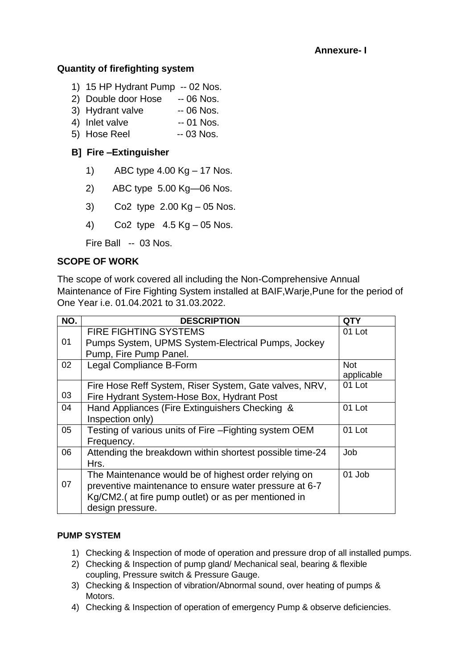## **Annexure- I**

## **Quantity of firefighting system**

- 1) 15 HP Hydrant Pump -- 02 Nos.
- 2) Double door Hose -- 06 Nos.
- 3) Hydrant valve -- 06 Nos.
- 4) Inlet valve -- 01 Nos.
- 5) Hose Reel -- 03 Nos.

## **B] Fire –Extinguisher**

- 1) ABC type 4.00 Kg 17 Nos.
- 2) ABC type 5.00 Kg—06 Nos.
- 3) Co2 type 2.00 Kg 05 Nos.
- 4) Co2 type 4.5 Kg 05 Nos.

Fire Ball -- 03 Nos.

## **SCOPE OF WORK**

The scope of work covered all including the Non-Comprehensive Annual Maintenance of Fire Fighting System installed at BAIF,Warje,Pune for the period of One Year i.e. 01.04.2021 to 31.03.2022.

| NO. | <b>DESCRIPTION</b>                                       | <b>QTY</b> |
|-----|----------------------------------------------------------|------------|
|     | <b>FIRE FIGHTING SYSTEMS</b>                             | 01 Lot     |
| 01  | Pumps System, UPMS System-Electrical Pumps, Jockey       |            |
|     | Pump, Fire Pump Panel.                                   |            |
| 02  | Legal Compliance B-Form                                  | <b>Not</b> |
|     |                                                          | applicable |
|     | Fire Hose Reff System, Riser System, Gate valves, NRV,   | 01 Lot     |
| 03  | Fire Hydrant System-Hose Box, Hydrant Post               |            |
| 04  | Hand Appliances (Fire Extinguishers Checking &           | 01 Lot     |
|     | Inspection only)                                         |            |
| 05  | Testing of various units of Fire - Fighting system OEM   | 01 Lot     |
|     | Frequency.                                               |            |
| 06  | Attending the breakdown within shortest possible time-24 | Job        |
|     | Hrs.                                                     |            |
|     | The Maintenance would be of highest order relying on     | 01 Job     |
| 07  | preventive maintenance to ensure water pressure at 6-7   |            |
|     | Kg/CM2. (at fire pump outlet) or as per mentioned in     |            |
|     | design pressure.                                         |            |

#### **PUMP SYSTEM**

- 1) Checking & Inspection of mode of operation and pressure drop of all installed pumps.
- 2) Checking & Inspection of pump gland/ Mechanical seal, bearing & flexible coupling, Pressure switch & Pressure Gauge.
- 3) Checking & Inspection of vibration/Abnormal sound, over heating of pumps & Motors.
- 4) Checking & Inspection of operation of emergency Pump & observe deficiencies.